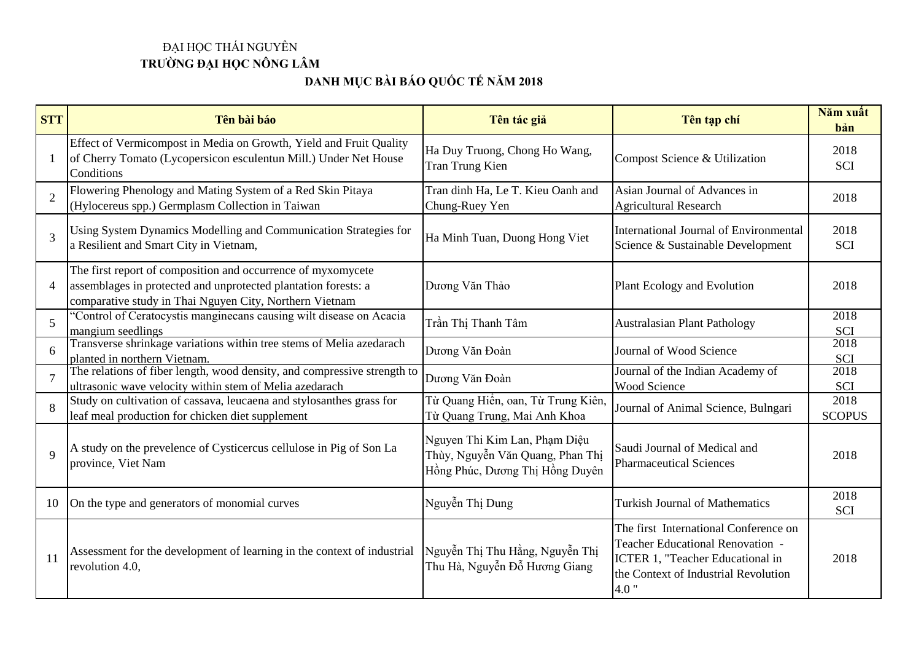## ĐẠI HỌC THÁI NGUYÊN **TRƯỜNG ĐẠI HỌC NÔNG LÂM**

## **DANH MỤC BÀI BÁO QUỐC TẾ NĂM 2018**

| <b>STT</b>     | Tên bài báo                                                                                                                                                                               | Tên tác giả                                                                                          | Tên tạp chí                                                                                                                                                   | Năm xuất<br>bản       |
|----------------|-------------------------------------------------------------------------------------------------------------------------------------------------------------------------------------------|------------------------------------------------------------------------------------------------------|---------------------------------------------------------------------------------------------------------------------------------------------------------------|-----------------------|
|                | Effect of Vermicompost in Media on Growth, Yield and Fruit Quality<br>of Cherry Tomato (Lycopersicon esculentun Mill.) Under Net House<br>Conditions                                      | Ha Duy Truong, Chong Ho Wang,<br>Tran Trung Kien                                                     | Compost Science & Utilization                                                                                                                                 | 2018<br>SCI           |
| $\overline{2}$ | Flowering Phenology and Mating System of a Red Skin Pitaya<br>(Hylocereus spp.) Germplasm Collection in Taiwan                                                                            | Tran dinh Ha, Le T. Kieu Oanh and<br>Chung-Ruey Yen                                                  | Asian Journal of Advances in<br><b>Agricultural Research</b>                                                                                                  | 2018                  |
| 3              | Using System Dynamics Modelling and Communication Strategies for<br>a Resilient and Smart City in Vietnam,                                                                                | Ha Minh Tuan, Duong Hong Viet                                                                        | International Journal of Environmental<br>Science & Sustainable Development                                                                                   | 2018<br><b>SCI</b>    |
| $\overline{4}$ | The first report of composition and occurrence of myxomycete<br>assemblages in protected and unprotected plantation forests: a<br>comparative study in Thai Nguyen City, Northern Vietnam | Dương Văn Thảo                                                                                       | Plant Ecology and Evolution                                                                                                                                   | 2018                  |
| 5              | "Control of Ceratocystis manginecans causing wilt disease on Acacia<br>mangium seedlings                                                                                                  | Trần Thị Thanh Tâm                                                                                   | <b>Australasian Plant Pathology</b>                                                                                                                           | 2018<br>SCI           |
| 6              | Transverse shrinkage variations within tree stems of Melia azedarach<br>planted in northern Vietnam.                                                                                      | Dương Văn Đoàn                                                                                       | Journal of Wood Science                                                                                                                                       | 2018<br><b>SCI</b>    |
|                | The relations of fiber length, wood density, and compressive strength to<br>ultrasonic wave velocity within stem of Melia azedarach                                                       | Dương Văn Đoàn                                                                                       | Journal of the Indian Academy of<br>Wood Science                                                                                                              | 2018<br>SCI           |
| 8              | Study on cultivation of cassava, leucaena and stylosanthes grass for<br>leaf meal production for chicken diet supplement                                                                  | Từ Quang Hiển, oan, Từ Trung Kiên,<br>Từ Quang Trung, Mai Anh Khoa                                   | Journal of Animal Science, Bulngari                                                                                                                           | 2018<br><b>SCOPUS</b> |
| 9              | A study on the prevelence of Cysticercus cellulose in Pig of Son La<br>province, Viet Nam                                                                                                 | Nguyen Thi Kim Lan, Phạm Diệu<br>Thùy, Nguyễn Văn Quang, Phan Thị<br>Hồng Phúc, Dương Thị Hồng Duyên | Saudi Journal of Medical and<br><b>Pharmaceutical Sciences</b>                                                                                                | 2018                  |
| 10             | On the type and generators of monomial curves                                                                                                                                             | Nguyễn Thị Dung                                                                                      | <b>Turkish Journal of Mathematics</b>                                                                                                                         | 2018<br><b>SCI</b>    |
| 11             | Assessment for the development of learning in the context of industrial<br>revolution 4.0,                                                                                                | Nguyễn Thị Thu Hằng, Nguyễn Thị<br>Thu Hà, Nguyễn Đỗ Hương Giang                                     | The first International Conference on<br>Teacher Educational Renovation -<br>ICTER 1, "Teacher Educational in<br>the Context of Industrial Revolution<br>4.0" | 2018                  |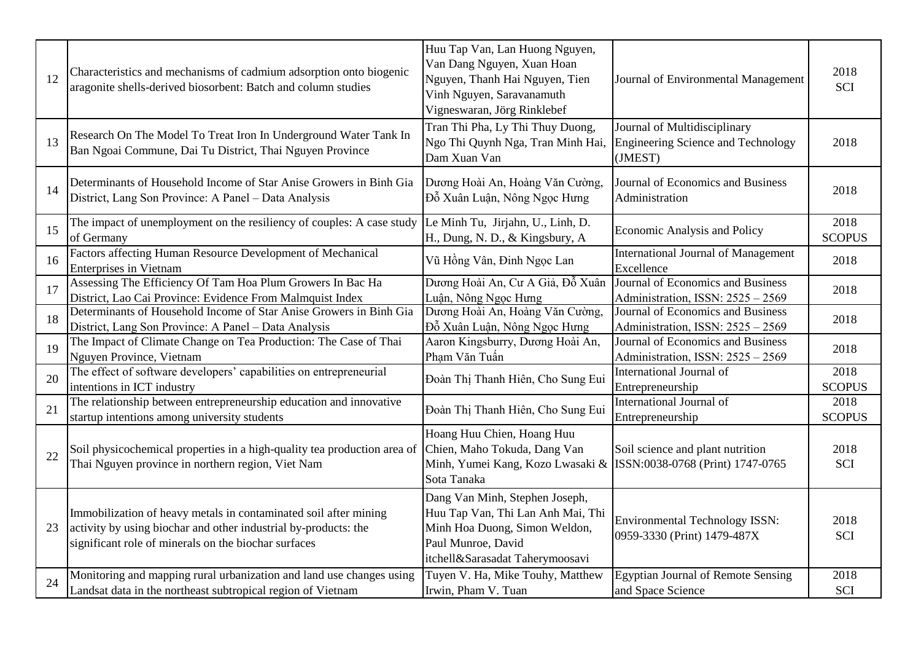| 12 | Characteristics and mechanisms of cadmium adsorption onto biogenic<br>aragonite shells-derived biosorbent: Batch and column studies                                                         | Huu Tap Van, Lan Huong Nguyen,<br>Van Dang Nguyen, Xuan Hoan<br>Nguyen, Thanh Hai Nguyen, Tien<br>Vinh Nguyen, Saravanamuth<br>Vigneswaran, Jörg Rinklebef    | Journal of Environmental Management                                                  | 2018<br><b>SCI</b>    |
|----|---------------------------------------------------------------------------------------------------------------------------------------------------------------------------------------------|---------------------------------------------------------------------------------------------------------------------------------------------------------------|--------------------------------------------------------------------------------------|-----------------------|
| 13 | Research On The Model To Treat Iron In Underground Water Tank In<br>Ban Ngoai Commune, Dai Tu District, Thai Nguyen Province                                                                | Tran Thi Pha, Ly Thi Thuy Duong,<br>Ngo Thi Quynh Nga, Tran Minh Hai,<br>Dam Xuan Van                                                                         | Journal of Multidisciplinary<br><b>Engineering Science and Technology</b><br>(JMEST) | 2018                  |
| 14 | Determinants of Household Income of Star Anise Growers in Binh Gia<br>District, Lang Son Province: A Panel - Data Analysis                                                                  | Dương Hoài An, Hoàng Văn Cường,<br>Đỗ Xuân Luận, Nông Ngọc Hưng                                                                                               | Journal of Economics and Business<br>Administration                                  | 2018                  |
| 15 | The impact of unemployment on the resiliency of couples: A case study<br>of Germany                                                                                                         | Le Minh Tu, Jirjahn, U., Linh, D.<br>H., Dung, N. D., & Kingsbury, A                                                                                          | Economic Analysis and Policy                                                         | 2018<br><b>SCOPUS</b> |
| 16 | Factors affecting Human Resource Development of Mechanical<br><b>Enterprises in Vietnam</b>                                                                                                 | Vũ Hồng Vân, Đinh Ngọc Lan                                                                                                                                    | <b>International Journal of Management</b><br>Excellence                             | 2018                  |
| 17 | Assessing The Efficiency Of Tam Hoa Plum Growers In Bac Ha<br>District, Lao Cai Province: Evidence From Malmquist Index                                                                     | Dương Hoài An, Cư A Giả, Đỗ Xuân<br>Luận, Nông Ngọc Hưng                                                                                                      | Journal of Economics and Business<br>Administration, ISSN: 2525 - 2569               | 2018                  |
| 18 | Determinants of Household Income of Star Anise Growers in Binh Gia<br>District, Lang Son Province: A Panel - Data Analysis                                                                  | Dương Hoài An, Hoàng Văn Cường,<br>Đỗ Xuân Luận, Nông Ngọc Hưng                                                                                               | Journal of Economics and Business<br>Administration, ISSN: 2525 - 2569               | 2018                  |
| 19 | The Impact of Climate Change on Tea Production: The Case of Thai<br>Nguyen Province, Vietnam                                                                                                | Aaron Kingsburry, Dương Hoài An,<br>Pham Văn Tuấn                                                                                                             | Journal of Economics and Business<br>Administration, ISSN: 2525 - 2569               | 2018                  |
| 20 | The effect of software developers' capabilities on entrepreneurial<br>intentions in ICT industry                                                                                            | Đoàn Thị Thanh Hiên, Cho Sung Eui                                                                                                                             | International Journal of<br>Entrepreneurship                                         | 2018<br><b>SCOPUS</b> |
| 21 | The relationship between entrepreneurship education and innovative<br>startup intentions among university students                                                                          | Đoàn Thị Thanh Hiên, Cho Sung Eui                                                                                                                             | International Journal of<br>Entrepreneurship                                         | 2018<br><b>SCOPUS</b> |
| 22 | Soil physicochemical properties in a high-quality tea production area of<br>Thai Nguyen province in northern region, Viet Nam                                                               | Hoang Huu Chien, Hoang Huu<br>Chien, Maho Tokuda, Dang Van<br>Minh, Yumei Kang, Kozo Lwasaki &<br>Sota Tanaka                                                 | Soil science and plant nutrition<br>ISSN:0038-0768 (Print) 1747-0765                 | 2018<br><b>SCI</b>    |
| 23 | Immobilization of heavy metals in contaminated soil after mining<br>activity by using biochar and other industrial by-products: the<br>significant role of minerals on the biochar surfaces | Dang Van Minh, Stephen Joseph,<br>Huu Tap Van, Thi Lan Anh Mai, Thi<br>Minh Hoa Duong, Simon Weldon,<br>Paul Munroe, David<br>itchell&Sarasadat Taherymoosavi | <b>Environmental Technology ISSN:</b><br>0959-3330 (Print) 1479-487X                 | 2018<br><b>SCI</b>    |
| 24 | Monitoring and mapping rural urbanization and land use changes using<br>Landsat data in the northeast subtropical region of Vietnam                                                         | Tuyen V. Ha, Mike Touhy, Matthew<br>Irwin, Pham V. Tuan                                                                                                       | <b>Egyptian Journal of Remote Sensing</b><br>and Space Science                       | 2018<br><b>SCI</b>    |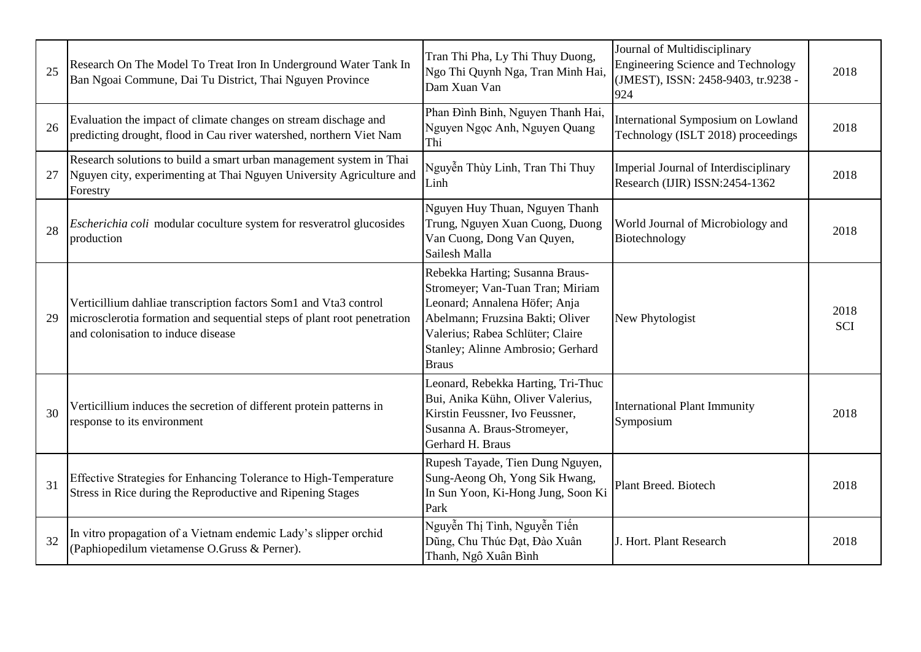| 25 | Research On The Model To Treat Iron In Underground Water Tank In<br>Ban Ngoai Commune, Dai Tu District, Thai Nguyen Province                                                      | Tran Thi Pha, Ly Thi Thuy Duong,<br>Ngo Thi Quynh Nga, Tran Minh Hai,<br>Dam Xuan Van                                                                                                                                             | Journal of Multidisciplinary<br><b>Engineering Science and Technology</b><br>(JMEST), ISSN: 2458-9403, tr.9238 -<br>924 | 2018               |
|----|-----------------------------------------------------------------------------------------------------------------------------------------------------------------------------------|-----------------------------------------------------------------------------------------------------------------------------------------------------------------------------------------------------------------------------------|-------------------------------------------------------------------------------------------------------------------------|--------------------|
| 26 | Evaluation the impact of climate changes on stream dischage and<br>predicting drought, flood in Cau river watershed, northern Viet Nam                                            | Phan Đình Binh, Nguyen Thanh Hai,<br>Nguyen Ngọc Anh, Nguyen Quang<br>Thi                                                                                                                                                         | International Symposium on Lowland<br>Technology (ISLT 2018) proceedings                                                | 2018               |
| 27 | Research solutions to build a smart urban management system in Thai<br>Nguyen city, experimenting at Thai Nguyen University Agriculture and<br>Forestry                           | Nguyễn Thùy Linh, Tran Thi Thuy<br>Linh                                                                                                                                                                                           | Imperial Journal of Interdisciplinary<br>Research (IJIR) ISSN:2454-1362                                                 | 2018               |
| 28 | <i>Escherichia coli</i> modular coculture system for resveratrol glucosides<br>production                                                                                         | Nguyen Huy Thuan, Nguyen Thanh<br>Trung, Nguyen Xuan Cuong, Duong<br>Van Cuong, Dong Van Quyen,<br>Sailesh Malla                                                                                                                  | World Journal of Microbiology and<br>Biotechnology                                                                      | 2018               |
| 29 | Verticillium dahliae transcription factors Som1 and Vta3 control<br>microsclerotia formation and sequential steps of plant root penetration<br>and colonisation to induce disease | Rebekka Harting; Susanna Braus-<br>Stromeyer; Van-Tuan Tran; Miriam<br>Leonard; Annalena Höfer; Anja<br>Abelmann; Fruzsina Bakti; Oliver<br>Valerius; Rabea Schlüter; Claire<br>Stanley; Alinne Ambrosio; Gerhard<br><b>Braus</b> | New Phytologist                                                                                                         | 2018<br><b>SCI</b> |
| 30 | Verticillium induces the secretion of different protein patterns in<br>response to its environment                                                                                | Leonard, Rebekka Harting, Tri-Thuc<br>Bui, Anika Kühn, Oliver Valerius,<br>Kirstin Feussner, Ivo Feussner,<br>Susanna A. Braus-Stromeyer,<br>Gerhard H. Braus                                                                     | <b>International Plant Immunity</b><br>Symposium                                                                        | 2018               |
| 31 | Effective Strategies for Enhancing Tolerance to High-Temperature<br>Stress in Rice during the Reproductive and Ripening Stages                                                    | Rupesh Tayade, Tien Dung Nguyen,<br>Sung-Aeong Oh, Yong Sik Hwang,<br>In Sun Yoon, Ki-Hong Jung, Soon Ki<br>Park                                                                                                                  | Plant Breed. Biotech                                                                                                    | 2018               |
| 32 | In vitro propagation of a Vietnam endemic Lady's slipper orchid<br>(Paphiopedilum vietamense O.Gruss & Perner).                                                                   | Nguyễn Thị Tình, Nguyễn Tiến<br>Dũng, Chu Thúc Đạt, Đào Xuân<br>Thanh, Ngô Xuân Bình                                                                                                                                              | J. Hort. Plant Research                                                                                                 | 2018               |